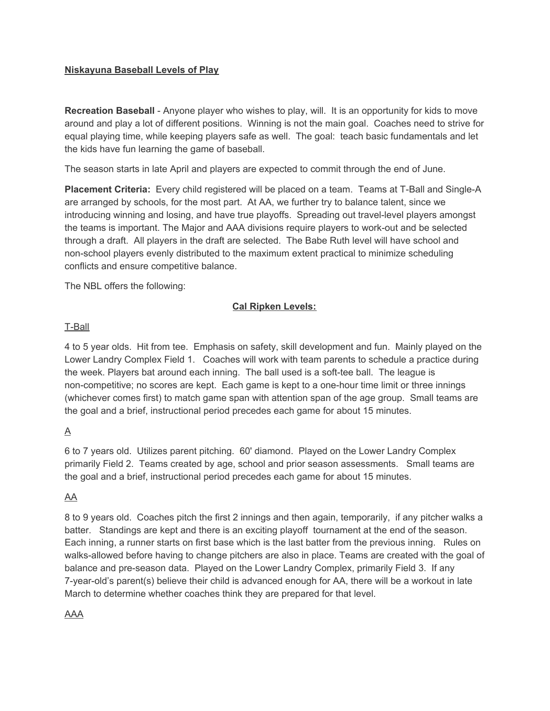### **Niskayuna Baseball Levels of Play**

**Recreation Baseball** - Anyone player who wishes to play, will. It is an opportunity for kids to move around and play a lot of different positions. Winning is not the main goal. Coaches need to strive for equal playing time, while keeping players safe as well. The goal: teach basic fundamentals and let the kids have fun learning the game of baseball.

The season starts in late April and players are expected to commit through the end of June.

**Placement Criteria:** Every child registered will be placed on a team. Teams at T-Ball and Single-A are arranged by schools, for the most part. At AA, we further try to balance talent, since we introducing winning and losing, and have true playoffs. Spreading out travel-level players amongst the teams is important. The Major and AAA divisions require players to work-out and be selected through a draft. All players in the draft are selected. The Babe Ruth level will have school and non-school players evenly distributed to the maximum extent practical to minimize scheduling conflicts and ensure competitive balance.

The NBL offers the following:

# **Cal Ripken Levels:**

#### T-Ball

4 to 5 year olds. Hit from tee. Emphasis on safety, skill development and fun. Mainly played on the Lower Landry Complex Field 1. Coaches will work with team parents to schedule a practice during the week. Players bat around each inning. The ball used is a soft-tee ball. The league is non-competitive; no scores are kept. Each game is kept to a one-hour time limit or three innings (whichever comes first) to match game span with attention span of the age group. Small teams are the goal and a brief, instructional period precedes each game for about 15 minutes.

# A

6 to 7 years old. Utilizes parent pitching. 60' diamond. Played on the Lower Landry Complex primarily Field 2. Teams created by age, school and prior season assessments. Small teams are the goal and a brief, instructional period precedes each game for about 15 minutes.

# AA

8 to 9 years old. Coaches pitch the first 2 innings and then again, temporarily, if any pitcher walks a batter. Standings are kept and there is an exciting playoff tournament at the end of the season. Each inning, a runner starts on first base which is the last batter from the previous inning. Rules on walks-allowed before having to change pitchers are also in place. Teams are created with the goal of balance and pre-season data. Played on the Lower Landry Complex, primarily Field 3. If any 7-year-old's parent(s) believe their child is advanced enough for AA, there will be a workout in late March to determine whether coaches think they are prepared for that level.

# AAA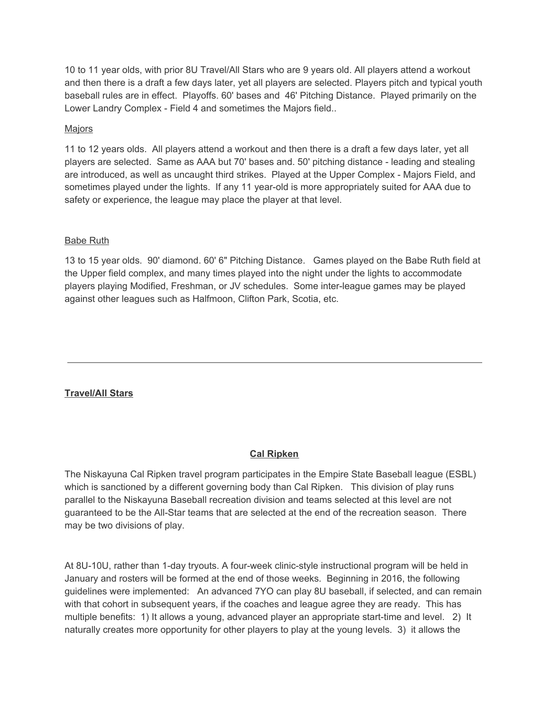10 to 11 year olds, with prior 8U Travel/All Stars who are 9 years old. All players attend a workout and then there is a draft a few days later, yet all players are selected. Players pitch and typical youth baseball rules are in effect. Playoffs. 60' bases and 46' Pitching Distance. Played primarily on the Lower Landry Complex - Field 4 and sometimes the Majors field..

#### **Majors**

11 to 12 years olds. All players attend a workout and then there is a draft a few days later, yet all players are selected. Same as AAA but 70' bases and. 50' pitching distance - leading and stealing are introduced, as well as uncaught third strikes. Played at the Upper Complex - Majors Field, and sometimes played under the lights. If any 11 year-old is more appropriately suited for AAA due to safety or experience, the league may place the player at that level.

### Babe Ruth

13 to 15 year olds. 90' diamond. 60' 6" Pitching Distance. Games played on the Babe Ruth field at the Upper field complex, and many times played into the night under the lights to accommodate players playing Modified, Freshman, or JV schedules. Some inter-league games may be played against other leagues such as Halfmoon, Clifton Park, Scotia, etc.

# **Travel/All Stars**

# **Cal Ripken**

The Niskayuna Cal Ripken travel program participates in the Empire State Baseball league (ESBL) which is sanctioned by a different governing body than Cal Ripken. This division of play runs parallel to the Niskayuna Baseball recreation division and teams selected at this level are not guaranteed to be the All-Star teams that are selected at the end of the recreation season. There may be two divisions of play.

At 8U-10U, rather than 1-day tryouts. A four-week clinic-style instructional program will be held in January and rosters will be formed at the end of those weeks. Beginning in 2016, the following guidelines were implemented: An advanced 7YO can play 8U baseball, if selected, and can remain with that cohort in subsequent years, if the coaches and league agree they are ready. This has multiple benefits: 1) It allows a young, advanced player an appropriate start-time and level. 2) It naturally creates more opportunity for other players to play at the young levels. 3) it allows the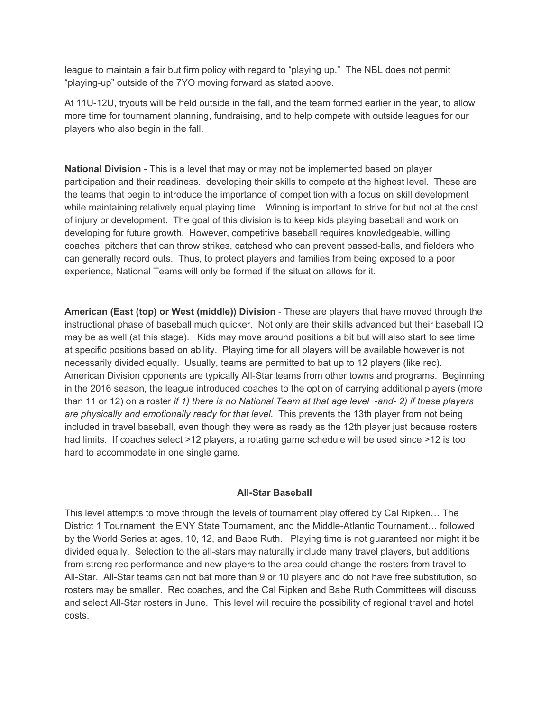league to maintain a fair but firm policy with regard to "playing up." The NBL does not permit "playing-up" outside of the 7YO moving forward as stated above.

At 11U-12U, tryouts will be held outside in the fall, and the team formed earlier in the year, to allow more time for tournament planning, fundraising, and to help compete with outside leagues for our players who also begin in the fall.

**National Division** - This is a level that may or may not be implemented based on player participation and their readiness. developing their skills to compete at the highest level. These are the teams that begin to introduce the importance of competition with a focus on skill development while maintaining relatively equal playing time.. Winning is important to strive for but not at the cost of injury or development. The goal of this division is to keep kids playing baseball and work on developing for future growth. However, competitive baseball requires knowledgeable, willing coaches, pitchers that can throw strikes, catchesd who can prevent passed-balls, and fielders who can generally record outs. Thus, to protect players and families from being exposed to a poor experience, National Teams will only be formed if the situation allows for it.

**American (East (top) or West (middle)) Division** - These are players that have moved through the instructional phase of baseball much quicker. Not only are their skills advanced but their baseball IQ may be as well (at this stage). Kids may move around positions a bit but will also start to see time at specific positions based on ability. Playing time for all players will be available however is not necessarily divided equally. Usually, teams are permitted to bat up to 12 players (like rec). American Division opponents are typically All-Star teams from other towns and programs. Beginning in the 2016 season, the league introduced coaches to the option of carrying additional players (more than 11 or 12) on a roster *if 1) there is no National Team at that age level -and- 2) if these players are physically and emotionally ready for that level.* This prevents the 13th player from not being included in travel baseball, even though they were as ready as the 12th player just because rosters had limits. If coaches select >12 players, a rotating game schedule will be used since >12 is too hard to accommodate in one single game.

# **All-Star Baseball**

This level attempts to move through the levels of tournament play offered by Cal Ripken… The District 1 Tournament, the ENY State Tournament, and the Middle-Atlantic Tournament… followed by the World Series at ages, 10, 12, and Babe Ruth. Playing time is not guaranteed nor might it be divided equally. Selection to the all-stars may naturally include many travel players, but additions from strong rec performance and new players to the area could change the rosters from travel to All-Star. All-Star teams can not bat more than 9 or 10 players and do not have free substitution, so rosters may be smaller. Rec coaches, and the Cal Ripken and Babe Ruth Committees will discuss and select All-Star rosters in June. This level will require the possibility of regional travel and hotel costs.